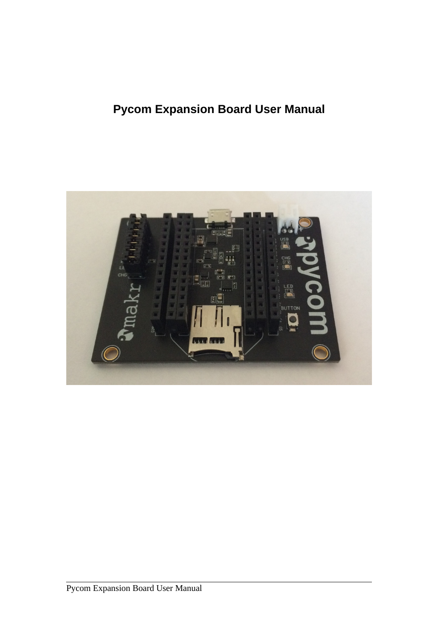# **Pycom Expansion Board User Manual**

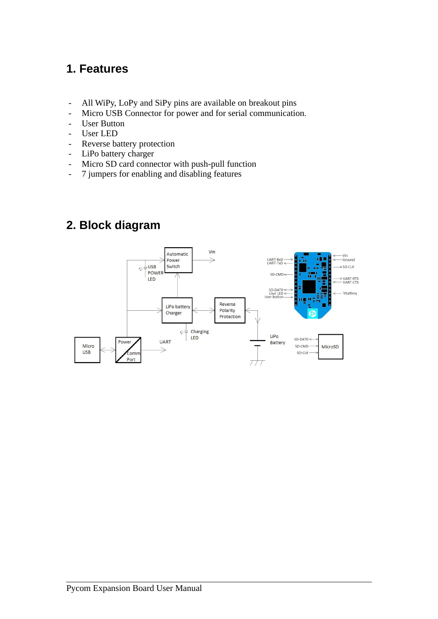#### **1. Features**

- All WiPy, LoPy and SiPy pins are available on breakout pins
- Micro USB Connector for power and for serial communication.
- User Button
- User LED
- Reverse battery protection
- LiPo battery charger
- Micro SD card connector with push-pull function
- 7 jumpers for enabling and disabling features

### **2. Block diagram**

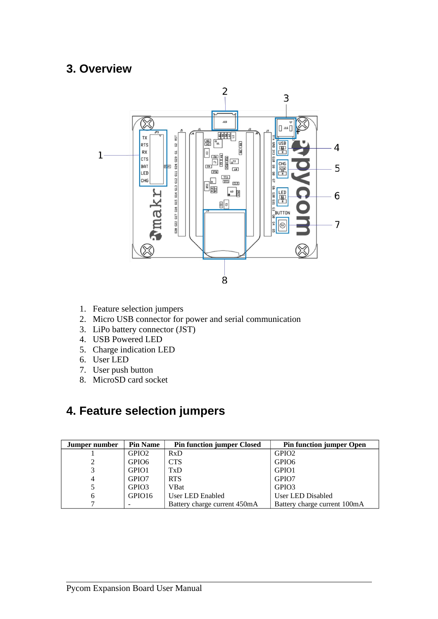#### **3. Overview**



- 1. Feature selection jumpers
- 2. Micro USB connector for power and serial communication
- 3. LiPo battery connector (JST)
- 4. USB Powered LED
- 5. Charge indication LED
- 6. User LED
- 7. User push button
- 8. MicroSD card socket

### **4. Feature selection jumpers**

| Jumper number | <b>Pin Name</b>   | <b>Pin function jumper Closed</b> | <b>Pin function jumper Open</b> |
|---------------|-------------------|-----------------------------------|---------------------------------|
|               | GPIO <sub>2</sub> | RxD                               | GPIO <sub>2</sub>               |
|               | GPIO <sub>6</sub> | <b>CTS</b>                        | GPIO <sub>6</sub>               |
|               | GPIO <sub>1</sub> | TxD                               | GPIO1                           |
| 4             | GPIO <sub>7</sub> | <b>RTS</b>                        | GPIO7                           |
|               | GPIO3             | VBat                              | GPIO <sub>3</sub>               |
| 6             | GPIO16            | User LED Enabled                  | User LED Disabled               |
|               |                   | Battery charge current 450mA      | Battery charge current 100mA    |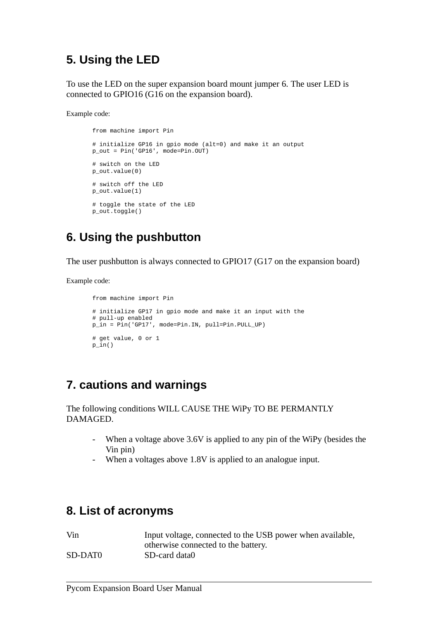### **5. Using the LED**

To use the LED on the super expansion board mount jumper 6. The user LED is connected to GPIO16 (G16 on the expansion board).

Example code:

```
from machine import Pin
# initialize GP16 in gpio mode (alt=0) and make it an output
p out = Pin('GP16', mode=Pin.OUT)
# switch on the LED
p_out.value(0)
# switch off the LED
p_out.value(1)
# toggle the state of the LED
p_out.toggle()
```
### **6. Using the pushbutton**

The user pushbutton is always connected to GPIO17 (G17 on the expansion board)

Example code:

```
from machine import Pin
# initialize GP17 in gpio mode and make it an input with the
# pull-up enabled
p_in = Pin('GP17', mode=Pin.IN, pull=Pin.PULL_UP)
# get value, 0 or 1
p_iin()
```
### **7. cautions and warnings**

The following conditions WILL CAUSE THE WiPy TO BE PERMANTLY DAMAGED.

- When a voltage above 3.6V is applied to any pin of the WiPy (besides the Vin pin)
- When a voltages above 1.8V is applied to an analogue input.

#### **8. List of acronyms**

| Vin     | Input voltage, connected to the USB power when available, |
|---------|-----------------------------------------------------------|
|         | otherwise connected to the battery.                       |
| SD-DAT0 | SD-card data0                                             |